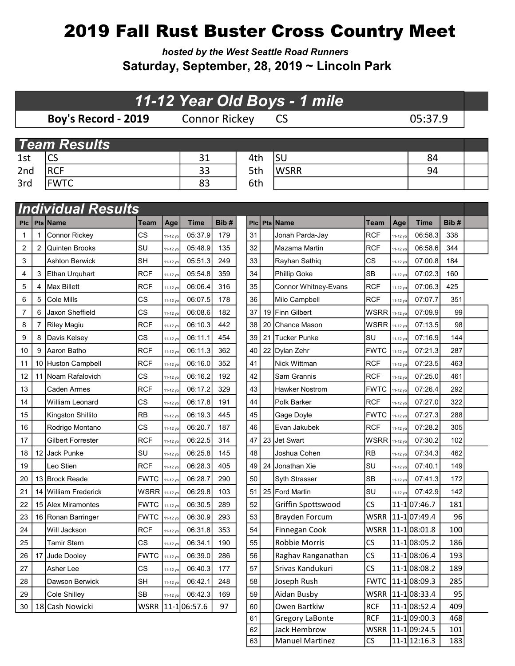## 2019 Fall Rust Buster Cross Country Meet

hosted by the West Seattle Road Runners Saturday, September, 28, 2019 ~ Lincoln Park

|                 |        |                                         |                  |                      | 11-12 Year Old Boys - 1 mile |            |
|-----------------|--------|-----------------------------------------|------------------|----------------------|------------------------------|------------|
|                 |        | Boy's Record - 2019                     |                  |                      | <b>Connor Rickey</b>         |            |
|                 |        |                                         |                  |                      |                              |            |
|                 |        | <b>Team Results</b>                     |                  |                      |                              |            |
| 1st             |        | CS                                      |                  |                      | 31                           |            |
| 2 <sub>nd</sub> |        | <b>RCF</b>                              |                  |                      | 33                           |            |
| 3rd             |        | <b>FWTC</b>                             |                  |                      | 83                           |            |
|                 |        |                                         |                  |                      |                              |            |
|                 |        | <b>Individual Results</b>               |                  |                      |                              |            |
| <b>PIC</b>      |        | Pts Name                                | Team             | Age                  | <b>Time</b>                  | Bib#       |
| 1               | 1      | <b>Connor Rickey</b>                    | <b>CS</b>        | 11-12 yo             | 05:37.9                      | 179        |
| 2               | 2      | <b>Quinten Brooks</b>                   | lsu<br><b>SH</b> | 11-12 yo             | 05:48.9                      | 135        |
| 3<br>4          |        | <b>Ashton Berwick</b><br>Ethan Urquhart | <b>RCF</b>       | 11-12 yo             | 05:51.3<br>05:54.8           | 249<br>359 |
| 5               | 3      | <b>Max Billett</b>                      | <b>RCF</b>       | 11-12 yo             | 06:06.4                      | 316        |
| 6               | 4<br>5 | Cole Mills                              | CS               | 11-12 yo             | 06:07.5                      | 178        |
| 7               | 6      | Jaxon Sheffield                         | <b>CS</b>        | 11-12 yo<br>11-12 yo | 06:08.6                      | 182        |
| 8               | 7      | <b>Riley Magiu</b>                      | <b>RCF</b>       | 11-12 yo             | 06:10.3                      | 442        |
| 9               | 8      | Davis Kelsey                            | <b>CS</b>        | 11-12 yo             | 06:11.1                      | 454        |
| 10              | 9      | Aaron Batho                             | <b>RCF</b>       | 11-12 yo             | 06:11.3                      | 362        |
| 11              | 10     | Huston Campbell                         | RCF              | 11-12 yo             | 06:16.0                      | 352        |
| 12              | 11     | Noam Rafalovich                         | <b>CS</b>        | 11-12 yo             | 06:16.2                      | 192        |
| 13              |        | Caden Armes                             | <b>RCF</b>       | 11-12 yo             | 06:17.2                      | 329        |
| 14              |        | William Leonard                         | <b>CS</b>        | 11-12 yo             | 06:17.8                      | 191        |
| 15              |        | Kingston Shillito                       | <b>RB</b>        | 11-12 yo             | 06:19.3                      | 445        |
| 16              |        | Rodrigo Montano                         | <b>CS</b>        | 11-12 yo             | 06:20.7                      | 187        |
| 17              |        | <b>Gilbert Forrester</b>                | <b>RCF</b>       | 11-12 yo             | 06:22.5                      | 314        |
| 18              | 12     | <b>Jack Punke</b>                       | SU               | 11-12 yo             | 06:25.8                      | 145        |
| 19              |        | Leo Stien                               | RCF              | 11-12 yo             | 06:28.3                      | 405        |
| 20              | 13     | <b>Brock Reade</b>                      | <b>FWTC</b>      | 11-12 yo             | 06:28.7                      | 290        |
| 21              | 14     | William Frederick                       | <b>WSRR</b>      | 11-12 yo             | 06:29.8                      | 103        |
| 22              | 15     | Alex Miramontes                         | <b>FWTC</b>      | 11-12 yo             | 06:30.5                      | 289        |
| 23              | 16     | Ronan Barringer                         | <b>FWTC</b>      | 11-12 yo             | 06:30.9                      | 293        |
| 24              |        | Will Jackson                            | <b>RCF</b>       | 11-12 yo             | 06:31.8                      | 353        |
| 25              |        | <b>Tamir Stern</b>                      | CS               | 11-12 yo             | 06:34.1                      | 190        |
| 26              | 17     | Jude Dooley                             | <b>FWTC</b>      | 11-12 yo             | 06:39.0                      | 286        |
| 27              |        | Asher Lee                               | CS               | 11-12 yo             | 06:40.3                      | 177        |
| 28              |        | Dawson Berwick                          | SH               | 11-12 yo             | 06:42.1                      | 248        |
| 29              |        | Cole Shilley                            | <b>SB</b>        | 11-12 yo             | 06:42.3                      | 169        |
| 30              | 18     | Cash Nowicki                            | WSRR             |                      | 11-106:57.6                  | 97         |

61 Gregory LaBonte RCF 11-1 09:00.3 468 62 Jack Hembrow WSRR 11-1 09:24.5 101 63 Manuel Martinez CS 11-12 yo 12:16.3 183